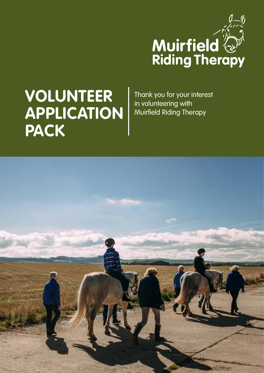

# **VOLUNTEER APPLICATION PACK**

Thank you for your interest in volunteering with Muirfield Riding Therapy

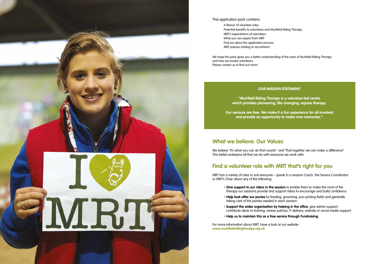#### **OUR MISSION STATEMENT**

**"Muirfield Riding Therapy is a volunteer-led centre which provides pioneering, life-changing, equine therapy.** 

**Our services are free. We make it a fun experience for all involved and provide an opportunity to make new memories."**



#### This application pack contains:

A flavour of volunteer roles Potential benefits to volunteers and Muirfield Riding Therapy MRT's expectations of volunteers What you can expect from MRT Find out about the application process MRT policies relating to recruitment.

We hope this pack gives you a better understanding of the work of Muirfield Riding Therapy and how we involve volunteers. Please contact us to find out more!

#### **What we believe: Our Values**

We believe "it's what you can do that counts" and "that together we can make a difference" This belief underpins all that we do with everyone we work with.

### **Find a volunteer role with MRT that's right for you**

- 
- MRT has a variety of roles to suit everyone speak to a session Coach, the Service Coordinator

or MRT's Chair about any of the following:

- **Give support to our riders in the session** to enable them to make the most of the therapy our sessions provide and support riders to encourage and build confidence.
- **Help look after our ponies** by feeding, grooming, poo-picking fields and generally taking care of the ponies needed in each session.
- **Support the wider organisation by helping in the office**, give admin support, contribute ideas to training, review policies, IT delivery, website or social media support.
- **Help us to maintain this as a free service through Fundraising.**

For more information about MRT, have a look at our website. **www.muirfieldridingtherapy.org.uk**

- 
-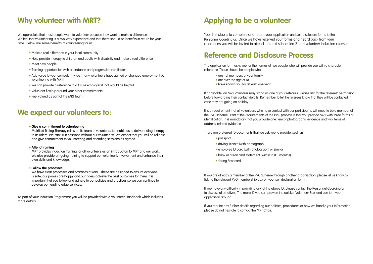### **Why volunteer with MRT?**

We appreciate that most people want to volunteer because they want to make a difference. We feel that volunteering is a two-way experience and that there should be benefits in return for your time. Below are some benefits of volunteering for us:

- Make a real difference in your local community
- Help provide therapy to children and adults with disability and make a real difference
- Meet new people
- Training opportunities with attendance and progression certificates
- Add value to your curriculum vitae (many volunteers have gained or changed employment by volunteering with MRT)
- We can provide a reference to a future employer if that would be helpful
- Volunteer flexibly around your other commitments
- Feel valued as part of the MRT team

### **We expect our volunteers to:**

#### • **Give a commitment to volunteering**

 Muirfield Riding Therapy relies on its team of volunteers to enable us to deliver riding therapy to its riders. We can't run sessions without our volunteers! We expect that you will be reliable and give commitment to volunteering and attending sessions as agreed.

#### • **Attend training**

 MRT provides induction training for all volunteers as an introduction to MRT and our work. We also provide on-going training to support our volunteer's involvement and enhance their own skills and knowledge.

#### • **Follow the processes**

 We have clear processes and practices at MRT. These are designed to ensure everyone is safe, our ponies are happy and our riders achieve the best outcomes for them. It is important that you follow and adhere to our policies and practices so we can continue to develop our leading edge services.

As part of your Induction Programme you will be provided with a Volunteer Handbook which includes more details.

## **Applying to be a volunteer**

Your first step is to complete and return your application and self-disclosure forms to the Personnel Coordinator. Once we have received your forms and heard back from your references you will be invited to attend the next scheduled 2-part volunteer induction course.

### **Reference and Disclosure Process**

The application form asks you for the names of two people who will provide you with a character reference. These should be people who:

- are not members of your family
- are over the age of 18
- have known you for at least one year.

If applicable, an MRT Volunteer may stand as one of your referees. Please ask for the referees' permission before forwarding their contact details. Remember to let the referees know that they will be contacted in case they are going on holiday.

It is a requirement that all volunteers who have contact with our participants will need to be a member of the PVG scheme. Part of the requirements of the PVG process is that you provide MRT with three forms of identification. It is mandatory that you provide one item of photographic evidence and two items of address-related evidence.

There are preferred ID documents that we ask you to provide, such as:

- passport
- driving licence (with photograph)
- employee ID card (with photograph) or similar
- bank or credit card statement (within last 3 months)
- Young Scot card

If you are already a member of the PVG Scheme through another organisation, please let us know by ticking the relevant PVG membership box on your self declaration form.

If you have any difficulty in providing any of the above ID, please contact the Personnel Coordinator to discuss alternatives. The more ID you can provide the quicker Volunteer Scotland can turn your application around.

If you require any further details regarding our policies, procedures or how we handle your information, please do not hesitate to contact the MRT Chair.

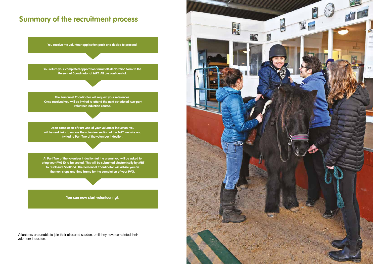### **Summary of the recruitment process**

**You receive the volunteer application pack and decide to proceed.**

**You return your completed application form/self-declaration form to the Personnel Coordinator at MRT. All are confidential.**

**The Personnel Coordinator will request your references. Once received you will be invited to attend the next scheduled two-part volunteer induction course.**

**Upon completion of Part One of your volunteer induction, you will be sent links to access the volunteer section of the MRT website and invited to Part Two of the volunteer induction.**

**At Part Two of the volunteer induction (at the arena) you will be asked to bring your PVG ID to be copied. This will be submitted electronically by MRT to Disclosure Scotland. The Personnel Coordinator will advise you on the next steps and time frame for the completion of your PVG.**

**You can now start volunteering!.**

Volunteers are unable to join their allocated session, until they have completed their volunteer induction.